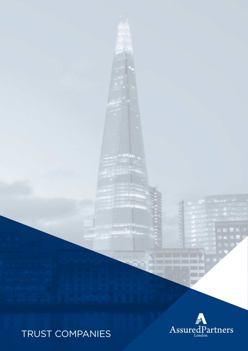# TRUST COMPANIES